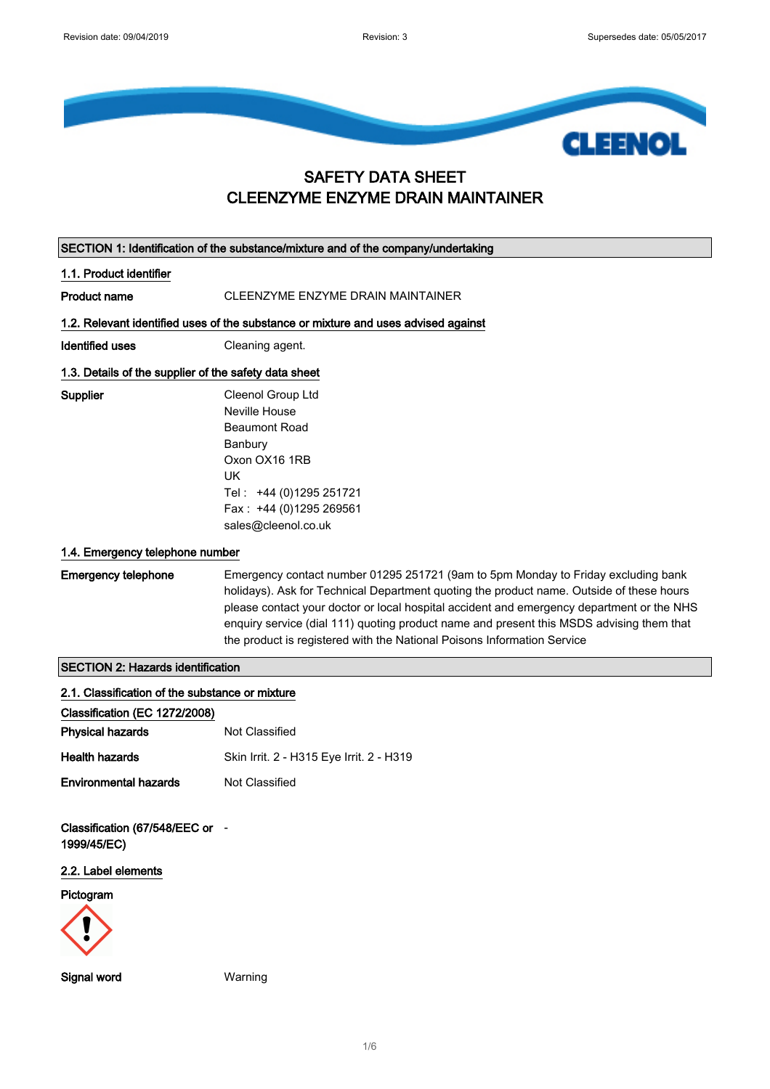

## SAFETY DATA SHEET CLEENZYME ENZYME DRAIN MAINTAINER

|                                                       | SECTION 1: Identification of the substance/mixture and of the company/undertaking                                                                                                                                                                                                                                                                                                                                                                 |
|-------------------------------------------------------|---------------------------------------------------------------------------------------------------------------------------------------------------------------------------------------------------------------------------------------------------------------------------------------------------------------------------------------------------------------------------------------------------------------------------------------------------|
| 1.1. Product identifier                               |                                                                                                                                                                                                                                                                                                                                                                                                                                                   |
| <b>Product name</b>                                   | CLEENZYME ENZYME DRAIN MAINTAINER                                                                                                                                                                                                                                                                                                                                                                                                                 |
|                                                       | 1.2. Relevant identified uses of the substance or mixture and uses advised against                                                                                                                                                                                                                                                                                                                                                                |
| <b>Identified uses</b>                                | Cleaning agent.                                                                                                                                                                                                                                                                                                                                                                                                                                   |
| 1.3. Details of the supplier of the safety data sheet |                                                                                                                                                                                                                                                                                                                                                                                                                                                   |
| <b>Supplier</b>                                       | Cleenol Group Ltd<br>Neville House<br><b>Beaumont Road</b><br>Banbury<br>Oxon OX16 1RB<br>UK<br>Tel: +44 (0)1295 251721<br>Fax: +44 (0)1295 269561<br>sales@cleenol.co.uk                                                                                                                                                                                                                                                                         |
| 1.4. Emergency telephone number                       |                                                                                                                                                                                                                                                                                                                                                                                                                                                   |
| <b>Emergency telephone</b>                            | Emergency contact number 01295 251721 (9am to 5pm Monday to Friday excluding bank<br>holidays). Ask for Technical Department quoting the product name. Outside of these hours<br>please contact your doctor or local hospital accident and emergency department or the NHS<br>enquiry service (dial 111) quoting product name and present this MSDS advising them that<br>the product is registered with the National Poisons Information Service |
| <b>SECTION 2: Hazards identification</b>              |                                                                                                                                                                                                                                                                                                                                                                                                                                                   |
| 2.1. Classification of the substance or mixture       |                                                                                                                                                                                                                                                                                                                                                                                                                                                   |
| Classification (EC 1272/2008)                         |                                                                                                                                                                                                                                                                                                                                                                                                                                                   |
| <b>Physical hazards</b>                               | Not Classified                                                                                                                                                                                                                                                                                                                                                                                                                                    |
| <b>Health hazards</b>                                 | Skin Irrit. 2 - H315 Eye Irrit. 2 - H319                                                                                                                                                                                                                                                                                                                                                                                                          |
| <b>Environmental hazards</b>                          | Not Classified                                                                                                                                                                                                                                                                                                                                                                                                                                    |
| Classification (67/548/EEC or -<br>1999/45/EC)        |                                                                                                                                                                                                                                                                                                                                                                                                                                                   |
| 2.2. Label elements                                   |                                                                                                                                                                                                                                                                                                                                                                                                                                                   |
| Pictogram                                             |                                                                                                                                                                                                                                                                                                                                                                                                                                                   |
| <b>Signal word</b>                                    | Warning                                                                                                                                                                                                                                                                                                                                                                                                                                           |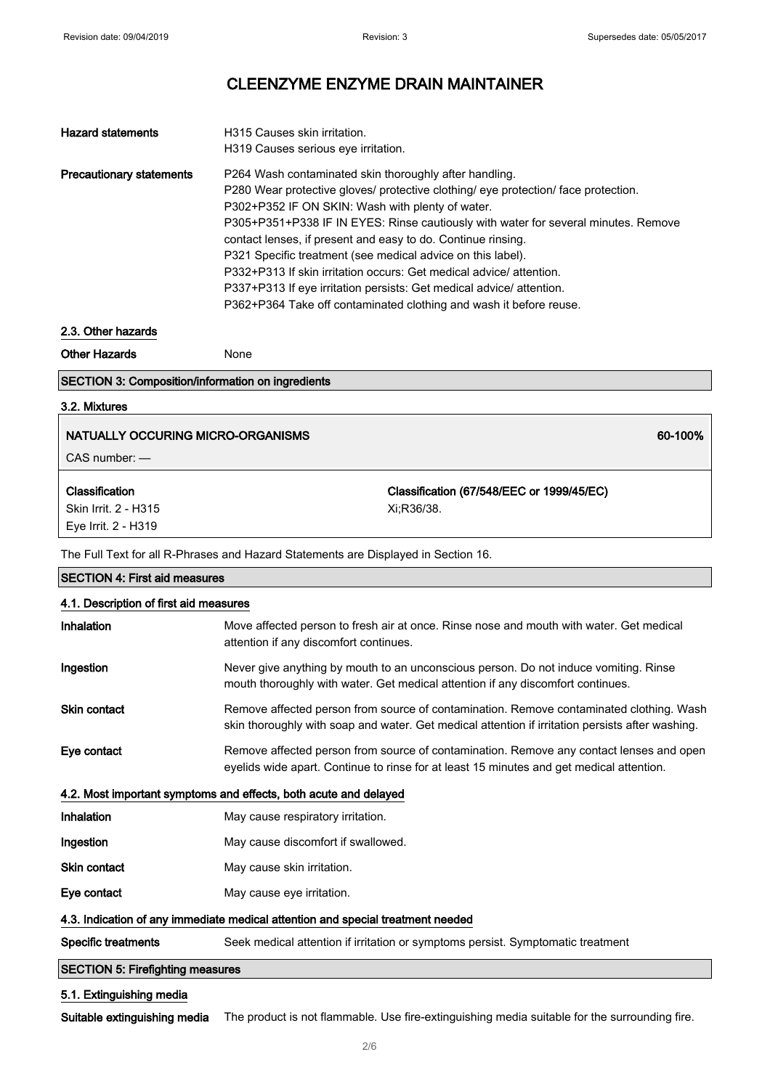| <b>Hazard statements</b>        | H315 Causes skin irritation.                                                       |
|---------------------------------|------------------------------------------------------------------------------------|
|                                 | H319 Causes serious eye irritation.                                                |
| <b>Precautionary statements</b> | P264 Wash contaminated skin thoroughly after handling.                             |
|                                 | P280 Wear protective gloves/ protective clothing/ eye protection/ face protection. |
|                                 | P302+P352 IF ON SKIN: Wash with plenty of water.                                   |
|                                 | P305+P351+P338 IF IN EYES: Rinse cautiously with water for several minutes. Remove |
|                                 | contact lenses, if present and easy to do. Continue rinsing.                       |
|                                 | P321 Specific treatment (see medical advice on this label).                        |
|                                 | P332+P313 If skin irritation occurs: Get medical advice/ attention.                |
|                                 | P337+P313 If eye irritation persists: Get medical advice/attention.                |
|                                 | P362+P364 Take off contaminated clothing and wash it before reuse.                 |

#### 2.3. Other hazards

Other Hazards None

### SECTION 3: Composition/information on ingredients

### 3.2. Mixtures

### NATUALLY OCCURING MICRO-ORGANISMS 60-100% (NATUALLY OCCURING MICRO-ORGANISMS

CAS number: —

#### Classification

Skin Irrit. 2 - H315 Eye Irrit. 2 - H319

Classification (67/548/EEC or 1999/45/EC) Xi;R36/38.

The Full Text for all R-Phrases and Hazard Statements are Displayed in Section 16.

| <b>SECTION 4: First aid measures</b>                                            |                                                                                                                                                                                             |
|---------------------------------------------------------------------------------|---------------------------------------------------------------------------------------------------------------------------------------------------------------------------------------------|
| 4.1. Description of first aid measures                                          |                                                                                                                                                                                             |
| Inhalation                                                                      | Move affected person to fresh air at once. Rinse nose and mouth with water. Get medical<br>attention if any discomfort continues.                                                           |
| Ingestion                                                                       | Never give anything by mouth to an unconscious person. Do not induce vomiting. Rinse<br>mouth thoroughly with water. Get medical attention if any discomfort continues.                     |
| <b>Skin contact</b>                                                             | Remove affected person from source of contamination. Remove contaminated clothing. Wash<br>skin thoroughly with soap and water. Get medical attention if irritation persists after washing. |
| Eye contact                                                                     | Remove affected person from source of contamination. Remove any contact lenses and open<br>eyelids wide apart. Continue to rinse for at least 15 minutes and get medical attention.         |
|                                                                                 | 4.2. Most important symptoms and effects, both acute and delayed                                                                                                                            |
| Inhalation                                                                      | May cause respiratory irritation.                                                                                                                                                           |
| Ingestion                                                                       | May cause discomfort if swallowed.                                                                                                                                                          |
| <b>Skin contact</b>                                                             | May cause skin irritation.                                                                                                                                                                  |
| Eye contact                                                                     | May cause eye irritation.                                                                                                                                                                   |
| 4.3. Indication of any immediate medical attention and special treatment needed |                                                                                                                                                                                             |
| <b>Specific treatments</b>                                                      | Seek medical attention if irritation or symptoms persist. Symptomatic treatment                                                                                                             |
| <b>SECTION 5: Firefighting measures</b>                                         |                                                                                                                                                                                             |

### 5.1. Extinguishing media

Suitable extinguishing media The product is not flammable. Use fire-extinguishing media suitable for the surrounding fire.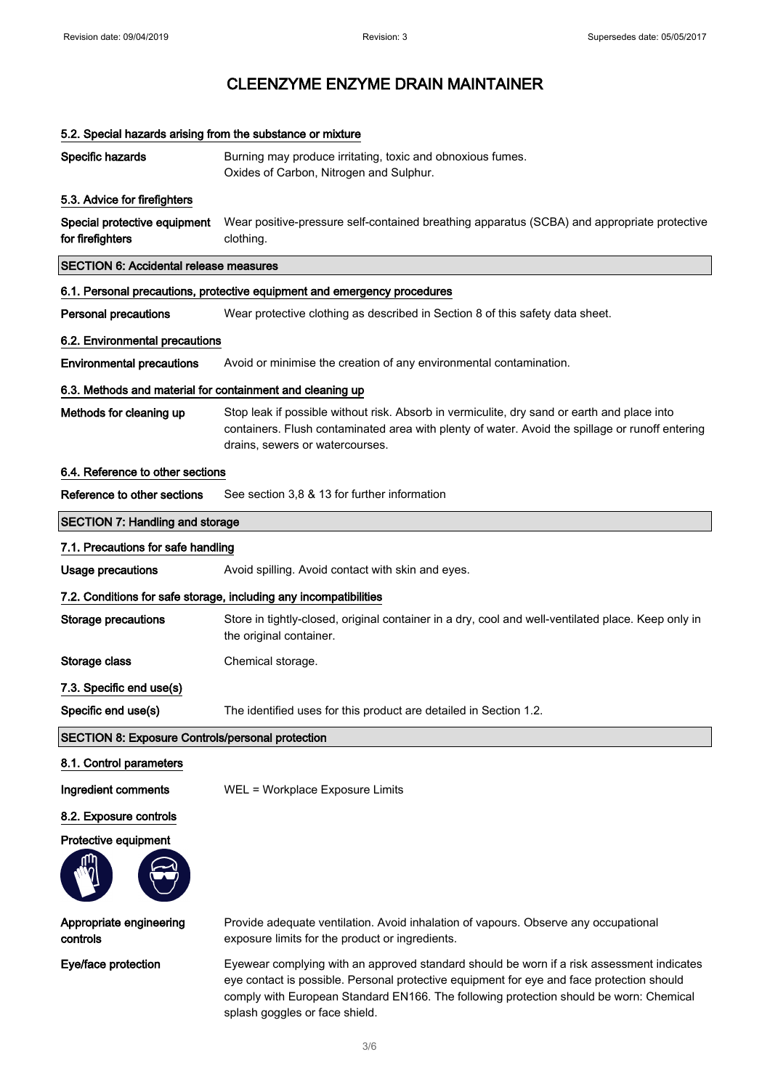| 5.2. Special hazards arising from the substance or mixture |                                                                                                                                                                                                                                   |
|------------------------------------------------------------|-----------------------------------------------------------------------------------------------------------------------------------------------------------------------------------------------------------------------------------|
| Specific hazards                                           | Burning may produce irritating, toxic and obnoxious fumes.<br>Oxides of Carbon, Nitrogen and Sulphur.                                                                                                                             |
| 5.3. Advice for firefighters                               |                                                                                                                                                                                                                                   |
| Special protective equipment<br>for firefighters           | Wear positive-pressure self-contained breathing apparatus (SCBA) and appropriate protective<br>clothing.                                                                                                                          |
| <b>SECTION 6: Accidental release measures</b>              |                                                                                                                                                                                                                                   |
|                                                            | 6.1. Personal precautions, protective equipment and emergency procedures                                                                                                                                                          |
| <b>Personal precautions</b>                                | Wear protective clothing as described in Section 8 of this safety data sheet.                                                                                                                                                     |
| 6.2. Environmental precautions                             |                                                                                                                                                                                                                                   |
| <b>Environmental precautions</b>                           | Avoid or minimise the creation of any environmental contamination.                                                                                                                                                                |
| 6.3. Methods and material for containment and cleaning up  |                                                                                                                                                                                                                                   |
| Methods for cleaning up                                    | Stop leak if possible without risk. Absorb in vermiculite, dry sand or earth and place into<br>containers. Flush contaminated area with plenty of water. Avoid the spillage or runoff entering<br>drains, sewers or watercourses. |
| 6.4. Reference to other sections                           |                                                                                                                                                                                                                                   |
| Reference to other sections                                | See section 3,8 & 13 for further information                                                                                                                                                                                      |
| <b>SECTION 7: Handling and storage</b>                     |                                                                                                                                                                                                                                   |
| 7.1. Precautions for safe handling                         |                                                                                                                                                                                                                                   |
| <b>Usage precautions</b>                                   | Avoid spilling. Avoid contact with skin and eyes.                                                                                                                                                                                 |
|                                                            | 7.2. Conditions for safe storage, including any incompatibilities                                                                                                                                                                 |
| Storage precautions                                        | Store in tightly-closed, original container in a dry, cool and well-ventilated place. Keep only in<br>the original container.                                                                                                     |
| Storage class                                              | Chemical storage.                                                                                                                                                                                                                 |
| 7.3. Specific end use(s)                                   |                                                                                                                                                                                                                                   |
| Specific end use(s)                                        | The identified uses for this product are detailed in Section 1.2.                                                                                                                                                                 |
| <b>SECTION 8: Exposure Controls/personal protection</b>    |                                                                                                                                                                                                                                   |
| 8.1. Control parameters                                    |                                                                                                                                                                                                                                   |
| Ingredient comments                                        | WEL = Workplace Exposure Limits                                                                                                                                                                                                   |
| 8.2. Exposure controls                                     |                                                                                                                                                                                                                                   |
| Protective equipment                                       |                                                                                                                                                                                                                                   |
| Appropriate engineering<br>controls                        | Provide adequate ventilation. Avoid inhalation of vapours. Observe any occupational<br>exposure limits for the product or ingredients.                                                                                            |
| Eye/face protection                                        | Eyewear complying with an approved standard should be worn if a risk assessment indicates<br>eye contact is possible. Personal protective equipment for eye and face protection should                                            |

3/ 6

splash goggles or face shield.

comply with European Standard EN166. The following protection should be worn: Chemical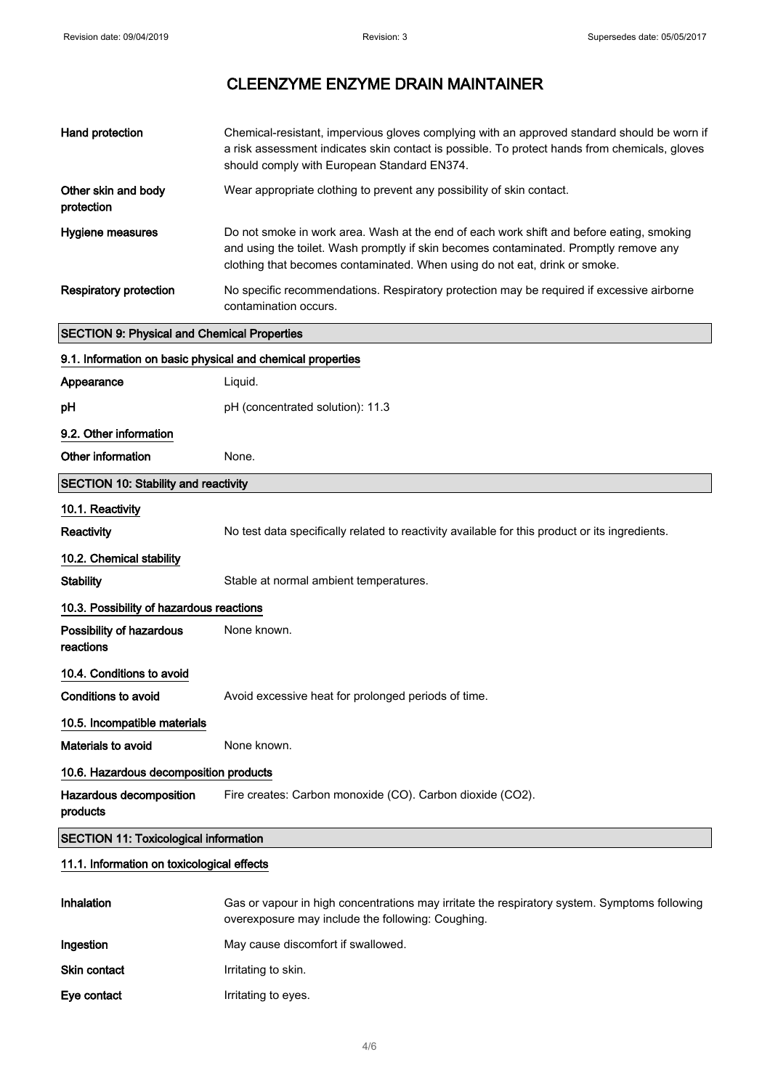| Hand protection                                            | Chemical-resistant, impervious gloves complying with an approved standard should be worn if                                                                                                                                                                     |
|------------------------------------------------------------|-----------------------------------------------------------------------------------------------------------------------------------------------------------------------------------------------------------------------------------------------------------------|
|                                                            | a risk assessment indicates skin contact is possible. To protect hands from chemicals, gloves<br>should comply with European Standard EN374.                                                                                                                    |
| Other skin and body<br>protection                          | Wear appropriate clothing to prevent any possibility of skin contact.                                                                                                                                                                                           |
| Hygiene measures                                           | Do not smoke in work area. Wash at the end of each work shift and before eating, smoking<br>and using the toilet. Wash promptly if skin becomes contaminated. Promptly remove any<br>clothing that becomes contaminated. When using do not eat, drink or smoke. |
| <b>Respiratory protection</b>                              | No specific recommendations. Respiratory protection may be required if excessive airborne<br>contamination occurs.                                                                                                                                              |
| <b>SECTION 9: Physical and Chemical Properties</b>         |                                                                                                                                                                                                                                                                 |
| 9.1. Information on basic physical and chemical properties |                                                                                                                                                                                                                                                                 |
| Appearance                                                 | Liquid.                                                                                                                                                                                                                                                         |
| рH                                                         | pH (concentrated solution): 11.3                                                                                                                                                                                                                                |
| 9.2. Other information                                     |                                                                                                                                                                                                                                                                 |
| Other information                                          | None.                                                                                                                                                                                                                                                           |
| <b>SECTION 10: Stability and reactivity</b>                |                                                                                                                                                                                                                                                                 |
| 10.1. Reactivity                                           |                                                                                                                                                                                                                                                                 |
| Reactivity                                                 | No test data specifically related to reactivity available for this product or its ingredients.                                                                                                                                                                  |
| 10.2. Chemical stability                                   |                                                                                                                                                                                                                                                                 |
| <b>Stability</b>                                           | Stable at normal ambient temperatures.                                                                                                                                                                                                                          |
| 10.3. Possibility of hazardous reactions                   |                                                                                                                                                                                                                                                                 |
| Possibility of hazardous<br>reactions                      | None known.                                                                                                                                                                                                                                                     |
| 10.4. Conditions to avoid                                  |                                                                                                                                                                                                                                                                 |
| Conditions to avoid                                        | Avoid excessive heat for prolonged periods of time.                                                                                                                                                                                                             |
| 10.5. Incompatible materials                               |                                                                                                                                                                                                                                                                 |
| Materials to avoid                                         | None known.                                                                                                                                                                                                                                                     |
| 10.6. Hazardous decomposition products                     |                                                                                                                                                                                                                                                                 |
| Hazardous decomposition<br>products                        | Fire creates: Carbon monoxide (CO). Carbon dioxide (CO2).                                                                                                                                                                                                       |
| <b>SECTION 11: Toxicological information</b>               |                                                                                                                                                                                                                                                                 |
| 11.1. Information on toxicological effects                 |                                                                                                                                                                                                                                                                 |
| Inhalation                                                 | Gas or vapour in high concentrations may irritate the respiratory system. Symptoms following<br>overexposure may include the following: Coughing.                                                                                                               |

- Ingestion May cause discomfort if swallowed.
- Skin contact **IFF 1886** Irritating to skin.
- Eye contact **I**rritating to eyes.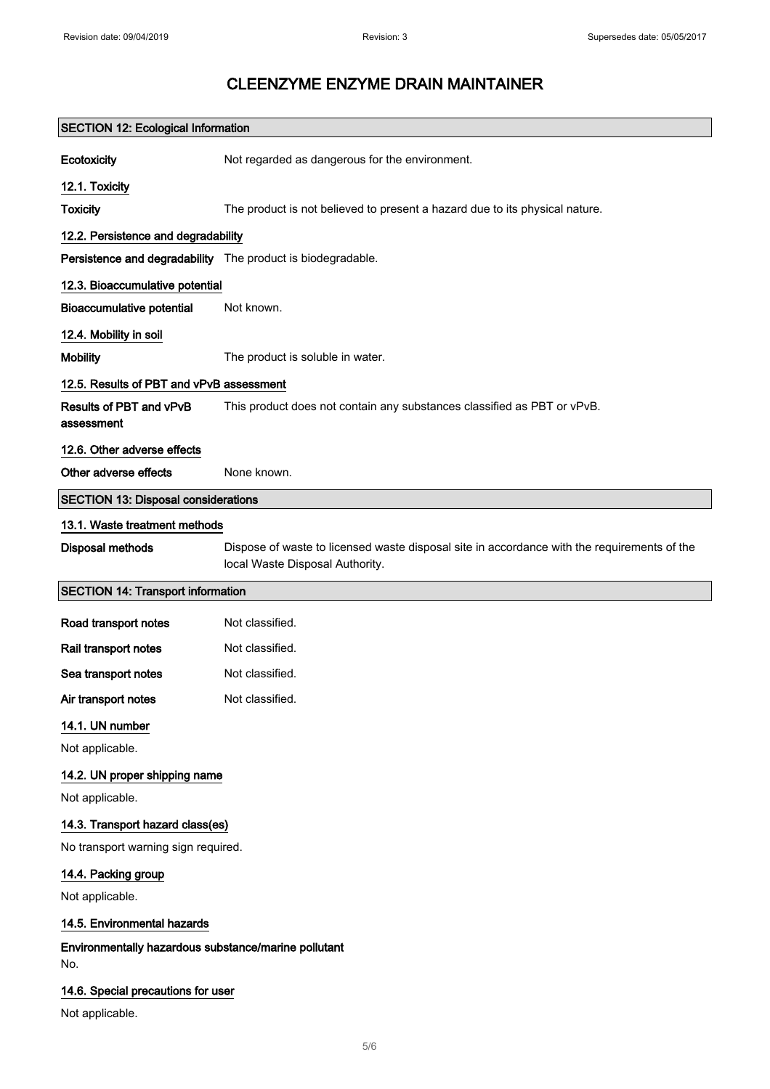| <b>SECTION 12: Ecological Information</b>                   |                                                                                                                                |
|-------------------------------------------------------------|--------------------------------------------------------------------------------------------------------------------------------|
| Ecotoxicity                                                 | Not regarded as dangerous for the environment.                                                                                 |
| 12.1. Toxicity                                              |                                                                                                                                |
| <b>Toxicity</b>                                             | The product is not believed to present a hazard due to its physical nature.                                                    |
| 12.2. Persistence and degradability                         |                                                                                                                                |
| Persistence and degradability The product is biodegradable. |                                                                                                                                |
| 12.3. Bioaccumulative potential                             |                                                                                                                                |
| <b>Bioaccumulative potential</b>                            | Not known.                                                                                                                     |
| 12.4. Mobility in soil                                      |                                                                                                                                |
| <b>Mobility</b>                                             | The product is soluble in water.                                                                                               |
| 12.5. Results of PBT and vPvB assessment                    |                                                                                                                                |
| Results of PBT and vPvB<br>assessment                       | This product does not contain any substances classified as PBT or vPvB.                                                        |
| 12.6. Other adverse effects                                 |                                                                                                                                |
| Other adverse effects                                       | None known.                                                                                                                    |
| <b>SECTION 13: Disposal considerations</b>                  |                                                                                                                                |
| 13.1. Waste treatment methods                               |                                                                                                                                |
| <b>Disposal methods</b>                                     | Dispose of waste to licensed waste disposal site in accordance with the requirements of the<br>local Waste Disposal Authority. |
| <b>SECTION 14: Transport information</b>                    |                                                                                                                                |
| Road transport notes                                        | Not classified.                                                                                                                |
| Rail transport notes                                        | Not classified.                                                                                                                |
| Sea transport notes                                         | Not classified.                                                                                                                |
| Air transport notes                                         | Not classified.                                                                                                                |
| 14.1. UN number                                             |                                                                                                                                |
| Not applicable.                                             |                                                                                                                                |
| 14.2. UN proper shipping name                               |                                                                                                                                |
| Not applicable.                                             |                                                                                                                                |
| 14.3. Transport hazard class(es)                            |                                                                                                                                |
| No transport warning sign required.                         |                                                                                                                                |
| 14.4. Packing group                                         |                                                                                                                                |
| Not applicable.                                             |                                                                                                                                |
| 14.5. Environmental hazards                                 |                                                                                                                                |
| Environmentally hazardous substance/marine pollutant        |                                                                                                                                |

No.

### 14.6. Special precautions for user

Not applicable.